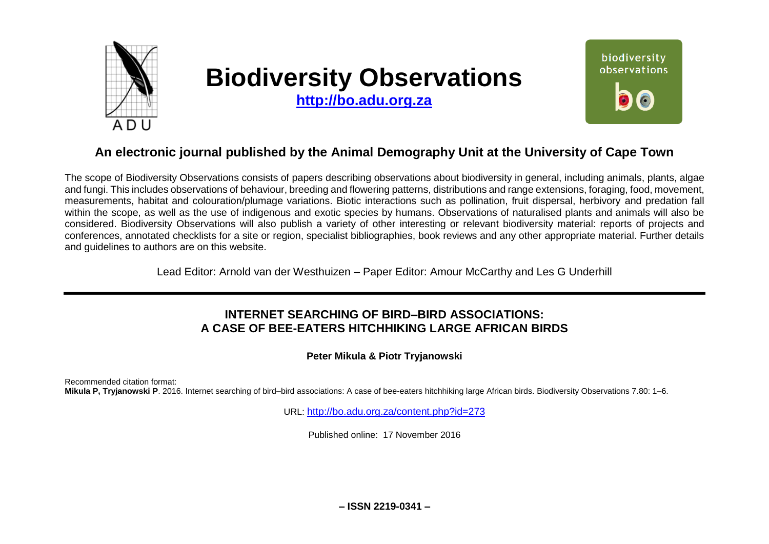

# **Biodiversity Observations**

**[http://bo.adu.org.za](http://bo.adu.org.za/)**



# **An electronic journal published by the Animal Demography Unit at the University of Cape Town**

The scope of Biodiversity Observations consists of papers describing observations about biodiversity in general, including animals, plants, algae and fungi. This includes observations of behaviour, breeding and flowering patterns, distributions and range extensions, foraging, food, movement, measurements, habitat and colouration/plumage variations. Biotic interactions such as pollination, fruit dispersal, herbivory and predation fall within the scope, as well as the use of indigenous and exotic species by humans. Observations of naturalised plants and animals will also be considered. Biodiversity Observations will also publish a variety of other interesting or relevant biodiversity material: reports of projects and conferences, annotated checklists for a site or region, specialist bibliographies, book reviews and any other appropriate material. Further details and guidelines to authors are on this website.

Lead Editor: Arnold van der Westhuizen – Paper Editor: Amour McCarthy and Les G Underhill

# **INTERNET SEARCHING OF BIRD–BIRD ASSOCIATIONS: A CASE OF BEE-EATERS HITCHHIKING LARGE AFRICAN BIRDS**

**Peter Mikula & Piotr Tryjanowski**

Recommended citation format: **Mikula P, Tryjanowski P**. 2016. Internet searching of bird–bird associations: A case of bee-eaters hitchhiking large African birds. Biodiversity Observations 7.80: 1–6.

URL: <http://bo.adu.org.za/content.php?id=273>

Published online: 17 November 2016

**– ISSN 2219-0341 –**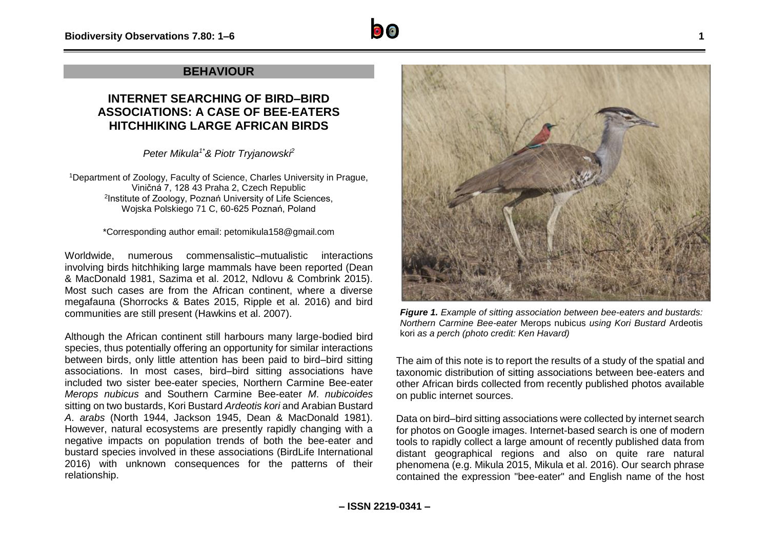## **BEHAVIOUR**

## **INTERNET SEARCHING OF BIRD–BIRD ASSOCIATIONS: A CASE OF BEE-EATERS HITCHHIKING LARGE AFRICAN BIRDS**

*Peter Mikula1\*& Piotr Tryjanowski<sup>2</sup>*

<sup>1</sup>Department of Zoology, Faculty of Science, Charles University in Prague, Viničná 7, 128 43 Praha 2, Czech Republic 2 Institute of Zoology, Poznań University of Life Sciences, Wojska Polskiego 71 C, 60-625 Poznań, Poland

\*Corresponding author email: petomikula158@gmail.com

Worldwide, numerous commensalistic–mutualistic interactions involving birds hitchhiking large mammals have been reported (Dean & MacDonald 1981, Sazima et al. 2012, Ndlovu & Combrink 2015). Most such cases are from the African continent, where a diverse megafauna (Shorrocks & Bates 2015, Ripple et al. 2016) and bird communities are still present (Hawkins et al. 2007).

Although the African continent still harbours many large-bodied bird species, thus potentially offering an opportunity for similar interactions between birds, only little attention has been paid to bird–bird sitting associations. In most cases, bird–bird sitting associations have included two sister bee-eater species, Northern Carmine Bee-eater *Merops nubicus* and Southern Carmine Bee-eater *M*. *nubicoides* sitting on two bustards, Kori Bustard *Ardeotis kori* and Arabian Bustard *A*. *arabs* (North 1944, Jackson 1945, Dean & MacDonald 1981). However, natural ecosystems are presently rapidly changing with a negative impacts on population trends of both the bee-eater and bustard species involved in these associations (BirdLife International 2016) with unknown consequences for the patterns of their relationship.



*Figure 1. Example of sitting association between bee-eaters and bustards: Northern Carmine Bee-eater* Merops nubicus *using Kori Bustard* Ardeotis kori *as a perch (photo credit: Ken Havard)*

The aim of this note is to report the results of a study of the spatial and taxonomic distribution of sitting associations between bee-eaters and other African birds collected from recently published photos available on public internet sources.

Data on bird–bird sitting associations were collected by internet search for photos on Google images. Internet-based search is one of modern tools to rapidly collect a large amount of recently published data from distant geographical regions and also on quite rare natural phenomena (e.g. Mikula 2015, Mikula et al. 2016). Our search phrase contained the expression "bee-eater" and English name of the host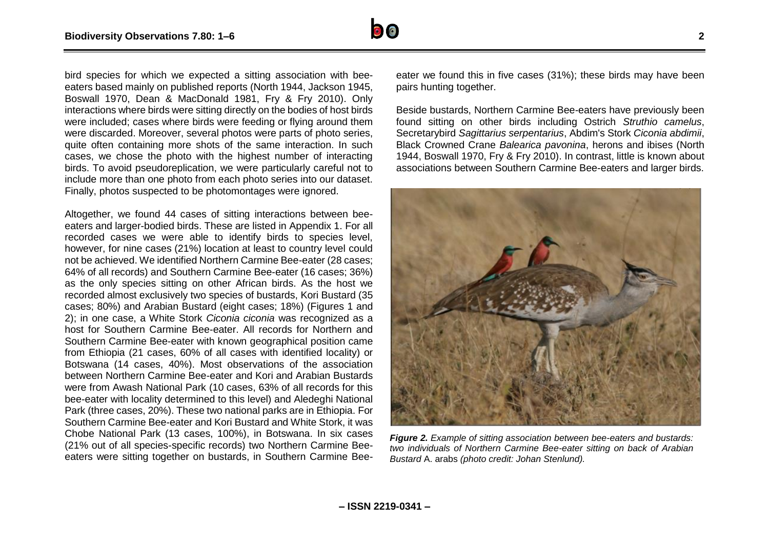

bird species for which we expected a sitting association with beeeaters based mainly on published reports (North 1944, Jackson 1945, Boswall 1970, Dean & MacDonald 1981, Fry & Fry 2010). Only interactions where birds were sitting directly on the bodies of host birds were included; cases where birds were feeding or flying around them were discarded. Moreover, several photos were parts of photo series, quite often containing more shots of the same interaction. In such cases, we chose the photo with the highest number of interacting birds. To avoid pseudoreplication, we were particularly careful not to include more than one photo from each photo series into our dataset. Finally, photos suspected to be photomontages were ignored.

Altogether, we found 44 cases of sitting interactions between beeeaters and larger-bodied birds. These are listed in Appendix 1. For all recorded cases we were able to identify birds to species level, however, for nine cases (21%) location at least to country level could not be achieved. We identified Northern Carmine Bee-eater (28 cases; 64% of all records) and Southern Carmine Bee-eater (16 cases; 36%) as the only species sitting on other African birds. As the host we recorded almost exclusively two species of bustards, Kori Bustard (35) cases; 80%) and Arabian Bustard (eight cases; 18%) (Figures 1 and 2); in one case, a White Stork *Ciconia ciconia* was recognized as a host for Southern Carmine Bee-eater. All records for Northern and Southern Carmine Bee-eater with known geographical position came from Ethiopia (21 cases, 60% of all cases with identified locality) or Botswana (14 cases, 40%). Most observations of the association between Northern Carmine Bee-eater and Kori and Arabian Bustards were from Awash National Park (10 cases, 63% of all records for this bee-eater with locality determined to this level) and Aledeghi National Park (three cases, 20%). These two national parks are in Ethiopia. For Southern Carmine Bee-eater and Kori Bustard and White Stork, it was Chobe National Park (13 cases, 100%), in Botswana. In six cases (21% out of all species-specific records) two Northern Carmine Beeeaters were sitting together on bustards, in Southern Carmine Bee-

eater we found this in five cases (31%); these birds may have been pairs hunting together.

Beside bustards, Northern Carmine Bee-eaters have previously been found sitting on other birds including Ostrich *Struthio camelus*, Secretarybird *Sagittarius serpentarius*, Abdim's Stork *Ciconia abdimii*, Black Crowned Crane *Balearica pavonina*, herons and ibises (North 1944, Boswall 1970, Fry & Fry 2010). In contrast, little is known about associations between Southern Carmine Bee-eaters and larger birds.



*Figure 2. Example of sitting association between bee-eaters and bustards: two individuals of Northern Carmine Bee-eater sitting on back of Arabian Bustard* A. arabs *(photo credit: Johan Stenlund).*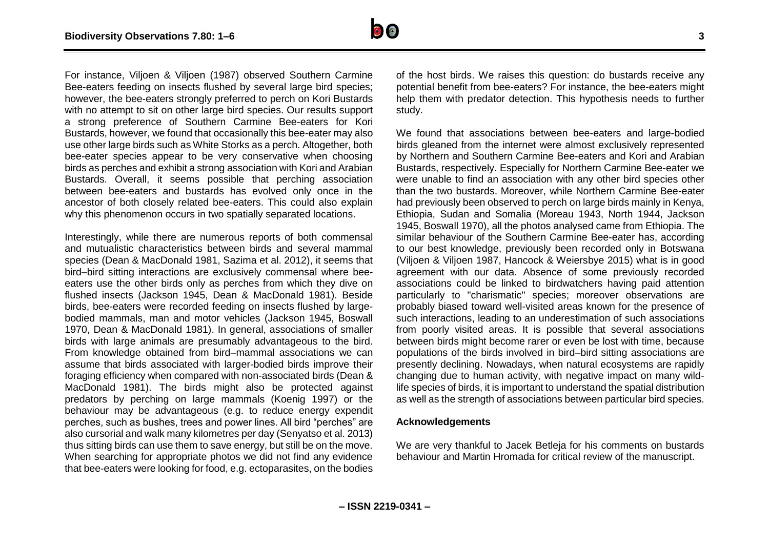

For instance, Viljoen & Viljoen (1987) observed Southern Carmine Bee-eaters feeding on insects flushed by several large bird species; however, the bee-eaters strongly preferred to perch on Kori Bustards with no attempt to sit on other large bird species. Our results support a strong preference of Southern Carmine Bee-eaters for Kori Bustards, however, we found that occasionally this bee-eater may also use other large birds such as White Storks as a perch. Altogether, both bee-eater species appear to be very conservative when choosing birds as perches and exhibit a strong association with Kori and Arabian Bustards. Overall, it seems possible that perching association between bee-eaters and bustards has evolved only once in the ancestor of both closely related bee-eaters. This could also explain why this phenomenon occurs in two spatially separated locations.

Interestingly, while there are numerous reports of both commensal and mutualistic characteristics between birds and several mammal species (Dean & MacDonald 1981, Sazima et al. 2012), it seems that bird–bird sitting interactions are exclusively commensal where beeeaters use the other birds only as perches from which they dive on flushed insects (Jackson 1945, Dean & MacDonald 1981). Beside birds, bee-eaters were recorded feeding on insects flushed by largebodied mammals, man and motor vehicles (Jackson 1945, Boswall 1970, Dean & MacDonald 1981). In general, associations of smaller birds with large animals are presumably advantageous to the bird. From knowledge obtained from bird–mammal associations we can assume that birds associated with larger-bodied birds improve their foraging efficiency when compared with non-associated birds (Dean & MacDonald 1981). The birds might also be protected against predators by perching on large mammals (Koenig 1997) or the behaviour may be advantageous (e.g. to reduce energy expendit perches, such as bushes, trees and power lines. All bird "perches" are also cursorial and walk many kilometres per day (Senyatso et al. 2013) thus sitting birds can use them to save energy, but still be on the move. When searching for appropriate photos we did not find any evidence that bee-eaters were looking for food, e.g. ectoparasites, on the bodies

of the host birds. We raises this question: do bustards receive any potential benefit from bee-eaters? For instance, the bee-eaters might help them with predator detection. This hypothesis needs to further study.

We found that associations between bee-eaters and large-bodied birds gleaned from the internet were almost exclusively represented by Northern and Southern Carmine Bee-eaters and Kori and Arabian Bustards, respectively. Especially for Northern Carmine Bee-eater we were unable to find an association with any other bird species other than the two bustards. Moreover, while Northern Carmine Bee-eater had previously been observed to perch on large birds mainly in Kenya, Ethiopia, Sudan and Somalia (Moreau 1943, North 1944, Jackson 1945, Boswall 1970), all the photos analysed came from Ethiopia. The similar behaviour of the Southern Carmine Bee-eater has, according to our best knowledge, previously been recorded only in Botswana (Viljoen & Viljoen 1987, Hancock & Weiersbye 2015) what is in good agreement with our data. Absence of some previously recorded associations could be linked to birdwatchers having paid attention particularly to "charismatic" species; moreover observations are probably biased toward well-visited areas known for the presence of such interactions, leading to an underestimation of such associations from poorly visited areas. It is possible that several associations between birds might become rarer or even be lost with time, because populations of the birds involved in bird–bird sitting associations are presently declining. Nowadays, when natural ecosystems are rapidly changing due to human activity, with negative impact on many wildlife species of birds, it is important to understand the spatial distribution as well as the strength of associations between particular bird species.

### **Acknowledgements**

We are very thankful to Jacek Betleja for his comments on bustards behaviour and Martin Hromada for critical review of the manuscript.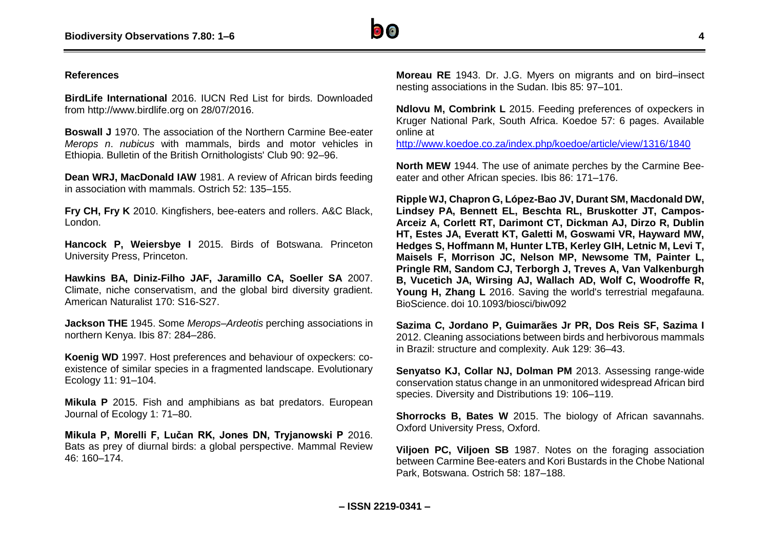

### **References**

**BirdLife International** 2016. IUCN Red List for birds. Downloaded from http://www.birdlife.org on 28/07/2016.

**Boswall J** 1970. The association of the Northern Carmine Bee-eater *Merops n*. *nubicus* with mammals, birds and motor vehicles in Ethiopia. Bulletin of the British Ornithologists' Club 90: 92–96.

**Dean WRJ, MacDonald IAW** 1981. A review of African birds feeding in association with mammals. Ostrich 52: 135–155.

**Fry CH, Fry K** 2010. Kingfishers, bee-eaters and rollers. A&C Black, London.

**Hancock P, Weiersbye I** 2015. Birds of Botswana. Princeton University Press, Princeton.

**Hawkins BA, Diniz**‐**Filho JAF, Jaramillo CA, Soeller SA** 2007. Climate, niche conservatism, and the global bird diversity gradient. American Naturalist 170: S16-S27.

**Jackson THE** 1945. Some *Merops*–*Ardeotis* perching associations in northern Kenya. Ibis 87: 284–286.

**Koenig WD** 1997. Host preferences and behaviour of oxpeckers: coexistence of similar species in a fragmented landscape. Evolutionary Ecology 11: 91–104.

**Mikula P** 2015. Fish and amphibians as bat predators. European Journal of Ecology 1: 71–80.

**Mikula P, Morelli F, Lučan RK, Jones DN, Tryjanowski P** 2016. Bats as prey of diurnal birds: a global perspective. Mammal Review 46: 160–174.

**Moreau RE** 1943. Dr. J.G. Myers on migrants and on bird–insect nesting associations in the Sudan. Ibis 85: 97–101.

**Ndlovu M, Combrink L** 2015. Feeding preferences of oxpeckers in Kruger National Park, South Africa. Koedoe 57: 6 pages. Available online at

<http://www.koedoe.co.za/index.php/koedoe/article/view/1316/1840>

**North MEW** 1944. The use of animate perches by the Carmine Bee‐ eater and other African species. Ibis 86: 171–176.

**Ripple WJ, Chapron G, López-Bao JV, Durant SM, Macdonald DW, Lindsey PA, Bennett EL, Beschta RL, Bruskotter JT, Campos-Arceiz A, Corlett RT, Darimont CT, Dickman AJ, Dirzo R, Dublin HT, Estes JA, Everatt KT, Galetti M, Goswami VR, Hayward MW, Hedges S, Hoffmann M, Hunter LTB, Kerley GIH, Letnic M, Levi T, Maisels F, Morrison JC, Nelson MP, Newsome TM, Painter L, Pringle RM, Sandom CJ, Terborgh J, Treves A, Van Valkenburgh B, Vucetich JA, Wirsing AJ, Wallach AD, Wolf C, Woodroffe R, Young H, Zhang L** 2016. Saving the world's terrestrial megafauna. BioScience. doi 10.1093/biosci/biw092

**Sazima C, Jordano P, Guimarães Jr PR, Dos Reis SF, Sazima I** 2012. Cleaning associations between birds and herbivorous mammals in Brazil: structure and complexity. Auk 129: 36–43.

**Senyatso KJ, Collar NJ, Dolman PM** 2013. Assessing range‐wide conservation status change in an unmonitored widespread African bird species. Diversity and Distributions 19: 106–119.

**Shorrocks B, Bates W** 2015. The biology of African savannahs. Oxford University Press, Oxford.

**Viljoen PC, Viljoen SB** 1987. Notes on the foraging association between Carmine Bee-eaters and Kori Bustards in the Chobe National Park, Botswana. Ostrich 58: 187–188.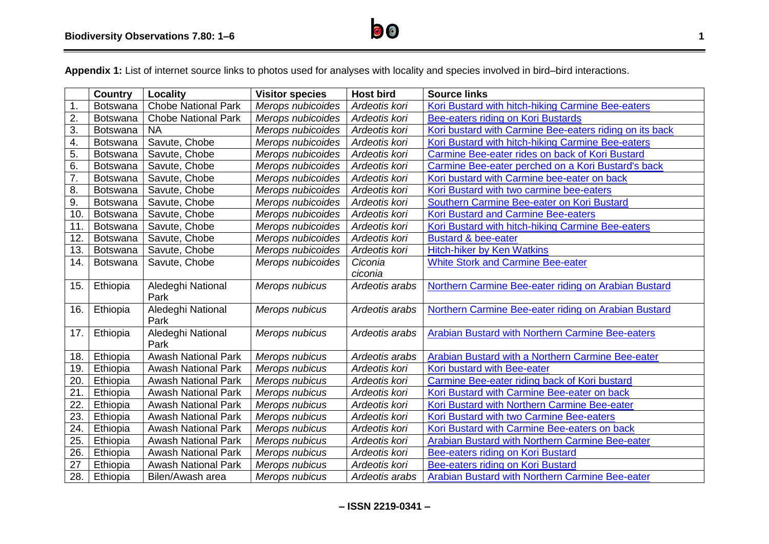

**Appendix 1:** List of internet source links to photos used for analyses with locality and species involved in bird–bird interactions.

|                  | <b>Country</b>  | Locality                   | <b>Visitor species</b> | <b>Host bird</b> | <b>Source links</b>                                     |
|------------------|-----------------|----------------------------|------------------------|------------------|---------------------------------------------------------|
| $\mathbf 1$ .    | Botswana        | <b>Chobe National Park</b> | Merops nubicoides      | Ardeotis kori    | Kori Bustard with hitch-hiking Carmine Bee-eaters       |
| $\overline{2}$ . | Botswana        | <b>Chobe National Park</b> | Merops nubicoides      | Ardeotis kori    | Bee-eaters riding on Kori Bustards                      |
| 3.               | <b>Botswana</b> | <b>NA</b>                  | Merops nubicoides      | Ardeotis kori    | Kori bustard with Carmine Bee-eaters riding on its back |
| 4.               | <b>Botswana</b> | Savute, Chobe              | Merops nubicoides      | Ardeotis kori    | Kori Bustard with hitch-hiking Carmine Bee-eaters       |
| 5.               | Botswana        | Savute, Chobe              | Merops nubicoides      | Ardeotis kori    | Carmine Bee-eater rides on back of Kori Bustard         |
| 6.               | <b>Botswana</b> | Savute, Chobe              | Merops nubicoides      | Ardeotis kori    | Carmine Bee-eater perched on a Kori Bustard's back      |
| $\overline{7}$ . | Botswana        | Savute, Chobe              | Merops nubicoides      | Ardeotis kori    | Kori bustard with Carmine bee-eater on back             |
| 8.               | Botswana        | Savute, Chobe              | Merops nubicoides      | Ardeotis kori    | Kori Bustard with two carmine bee-eaters                |
| 9.               | Botswana        | Savute, Chobe              | Merops nubicoides      | Ardeotis kori    | Southern Carmine Bee-eater on Kori Bustard              |
| 10               | <b>Botswana</b> | Savute, Chobe              | Merops nubicoides      | Ardeotis kori    | <b>Kori Bustard and Carmine Bee-eaters</b>              |
| 11               | Botswana        | Savute, Chobe              | Merops nubicoides      | Ardeotis kori    | Kori Bustard with hitch-hiking Carmine Bee-eaters       |
| 12.              | Botswana        | Savute, Chobe              | Merops nubicoides      | Ardeotis kori    | <b>Bustard &amp; bee-eater</b>                          |
| 13.              | <b>Botswana</b> | Savute, Chobe              | Merops nubicoides      | Ardeotis kori    | <b>Hitch-hiker by Ken Watkins</b>                       |
| 14.              | <b>Botswana</b> | Savute, Chobe              | Merops nubicoides      | Ciconia          | <b>White Stork and Carmine Bee-eater</b>                |
|                  |                 |                            |                        | ciconia          |                                                         |
| 15.              | Ethiopia        | Aledeghi National          | Merops nubicus         | Ardeotis arabs   | Northern Carmine Bee-eater riding on Arabian Bustard    |
|                  |                 | Park                       |                        |                  |                                                         |
| 16.              | Ethiopia        | Aledeghi National          | Merops nubicus         | Ardeotis arabs   | Northern Carmine Bee-eater riding on Arabian Bustard    |
|                  |                 | Park                       |                        |                  |                                                         |
| 17.              | Ethiopia        | Aledeghi National          | Merops nubicus         | Ardeotis arabs   | Arabian Bustard with Northern Carmine Bee-eaters        |
|                  |                 | Park                       |                        |                  |                                                         |
| 18.              | Ethiopia        | <b>Awash National Park</b> | Merops nubicus         | Ardeotis arabs   | Arabian Bustard with a Northern Carmine Bee-eater       |
| 19.              | Ethiopia        | <b>Awash National Park</b> | Merops nubicus         | Ardeotis kori    | Kori bustard with Bee-eater                             |
| 20.              | Ethiopia        | <b>Awash National Park</b> | Merops nubicus         | Ardeotis kori    | Carmine Bee-eater riding back of Kori bustard           |
| 21               | Ethiopia        | <b>Awash National Park</b> | Merops nubicus         | Ardeotis kori    | Kori Bustard with Carmine Bee-eater on back             |
| 22               | Ethiopia        | <b>Awash National Park</b> | Merops nubicus         | Ardeotis kori    | Kori Bustard with Northern Carmine Bee-eater            |
| 23.              | Ethiopia        | <b>Awash National Park</b> | Merops nubicus         | Ardeotis kori    | Kori Bustard with two Carmine Bee-eaters                |
| 24.              | Ethiopia        | <b>Awash National Park</b> | Merops nubicus         | Ardeotis kori    | Kori Bustard with Carmine Bee-eaters on back            |
| 25.              | Ethiopia        | <b>Awash National Park</b> | Merops nubicus         | Ardeotis kori    | Arabian Bustard with Northern Carmine Bee-eater         |
| 26.              | Ethiopia        | <b>Awash National Park</b> | Merops nubicus         | Ardeotis kori    | Bee-eaters riding on Kori Bustard                       |
| 27               | Ethiopia        | <b>Awash National Park</b> | Merops nubicus         | Ardeotis kori    | Bee-eaters riding on Kori Bustard                       |
| 28.              | Ethiopia        | Bilen/Awash area           | Merops nubicus         | Ardeotis arabs   | Arabian Bustard with Northern Carmine Bee-eater         |